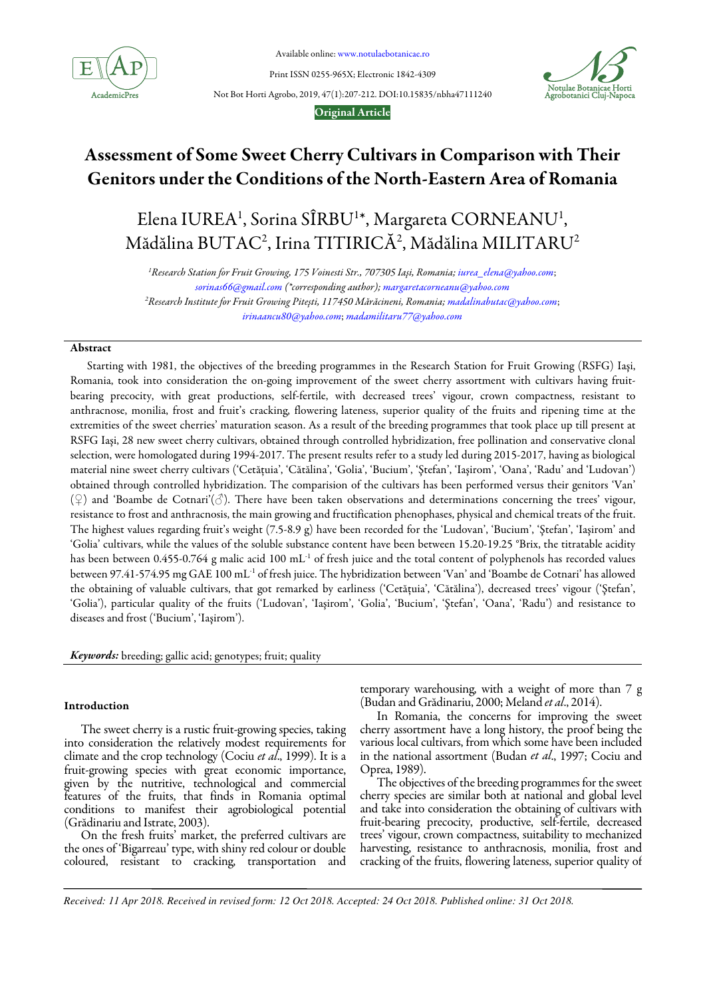

Available online: www.notulaebotanicae.ro

Print ISSN 0255-965X; Electronic 1842-4309

Not Bot Horti Agrobo, 2019, 47(1):207-212. DOI:10.15835/nbha47111240



## Original Article

# Assessment of Some Sweet Cherry Cultivars in Comparison with Their Genitors under the Conditions of the North-Eastern Area of Romania

Elena IUREA<sup>1</sup>, Sorina SÎRBU<sup>1\*</sup>, Margareta CORNEANU<sup>1</sup>,  $\rm M\ddot{a}$ dălina  $\rm BUTAC^2$ , Irina  $\rm TITIRIC\AA^2$ ,  $\rm M\ddot{a}$ dălina  $\rm MLITARU^2$ 

<sup>1</sup>Research Station for Fruit Growing, 175 Voinesti Str., 707305 Iași, Romania; iurea\_elena@yahoo.com; sorinas66@gmail.com (\*corresponding author); margaretacorneanu@yahoo.com <sup>2</sup>Research Institute for Fruit Growing Pitești, 117450 Mărăcineni, Romania; madalinabutac@yahoo.com; irinaancu80@yahoo.com; madamilitaru77@yahoo.com

## Abstract

Starting with 1981, the objectives of the breeding programmes in the Research Station for Fruit Growing (RSFG) Iaşi, Romania, took into consideration the on-going improvement of the sweet cherry assortment with cultivars having fruitbearing precocity, with great productions, self-fertile, with decreased trees' vigour, crown compactness, resistant to anthracnose, monilia, frost and fruit's cracking, flowering lateness, superior quality of the fruits and ripening time at the extremities of the sweet cherries' maturation season. As a result of the breeding programmes that took place up till present at RSFG Iaşi, 28 new sweet cherry cultivars, obtained through controlled hybridization, free pollination and conservative clonal selection, were homologated during 1994-2017. The present results refer to a study led during 2015-2017, having as biological material nine sweet cherry cultivars ('Cetăţuia', 'Cătălina', 'Golia', 'Bucium', 'Ştefan', 'Iaşirom', 'Oana', 'Radu' and 'Ludovan') obtained through controlled hybridization. The comparision of the cultivars has been performed versus their genitors 'Van' (♀) and 'Boambe de Cotnari'(♂). There have been taken observations and determinations concerning the trees' vigour, resistance to frost and anthracnosis, the main growing and fructification phenophases, physical and chemical treats of the fruit. The highest values regarding fruit's weight (7.5-8.9 g) have been recorded for the 'Ludovan', 'Bucium', 'Ştefan', 'Iaşirom' and 'Golia' cultivars, while the values of the soluble substance content have been between 15.20-19.25 °Brix, the titratable acidity has been between 0.455-0.764 g malic acid 100  $mL<sup>-1</sup>$  of fresh juice and the total content of polyphenols has recorded values between 97.41-574.95 mg GAE 100 mL-1 of fresh juice. The hybridization between 'Van' and 'Boambe de Cotnari' has allowed the obtaining of valuable cultivars, that got remarked by earliness ('Cetăţuia', 'Cătălina'), decreased trees' vigour ('Ştefan', 'Golia'), particular quality of the fruits ('Ludovan', 'Iaşirom', 'Golia', 'Bucium', 'Ştefan', 'Oana', 'Radu') and resistance to diseases and frost ('Bucium', 'Iaşirom').

Keywords: breeding; gallic acid; genotypes; fruit; quality

# Introduction

The sweet cherry is a rustic fruit-growing species, taking into consideration the relatively modest requirements for climate and the crop technology (Cociu et al., 1999). It is a fruit-growing species with great economic importance, given by the nutritive, technological and commercial features of the fruits, that finds in Romania optimal conditions to manifest their agrobiological potential (Grădinariu and Istrate, 2003).

On the fresh fruits' market, the preferred cultivars are the ones of 'Bigarreau' type, with shiny red colour or double coloured, resistant to cracking, transportation and temporary warehousing, with a weight of more than 7 g (Budan and Grădinariu, 2000; Meland et al., 2014).

In Romania, the concerns for improving the sweet cherry assortment have a long history, the proof being the various local cultivars, from which some have been included in the national assortment (Budan et al., 1997; Cociu and Oprea, 1989).

The objectives of the breeding programmes for the sweet cherry species are similar both at national and global level and take into consideration the obtaining of cultivars with fruit-bearing precocity, productive, self-fertile, decreased trees' vigour, crown compactness, suitability to mechanized harvesting, resistance to anthracnosis, monilia, frost and cracking of the fruits, flowering lateness, superior quality of

*Received: 11 Apr 2018. Received in revised form: 12 Oct 2018. Accepted: 24 Oct 2018. Published online: 31 Oct 2018.*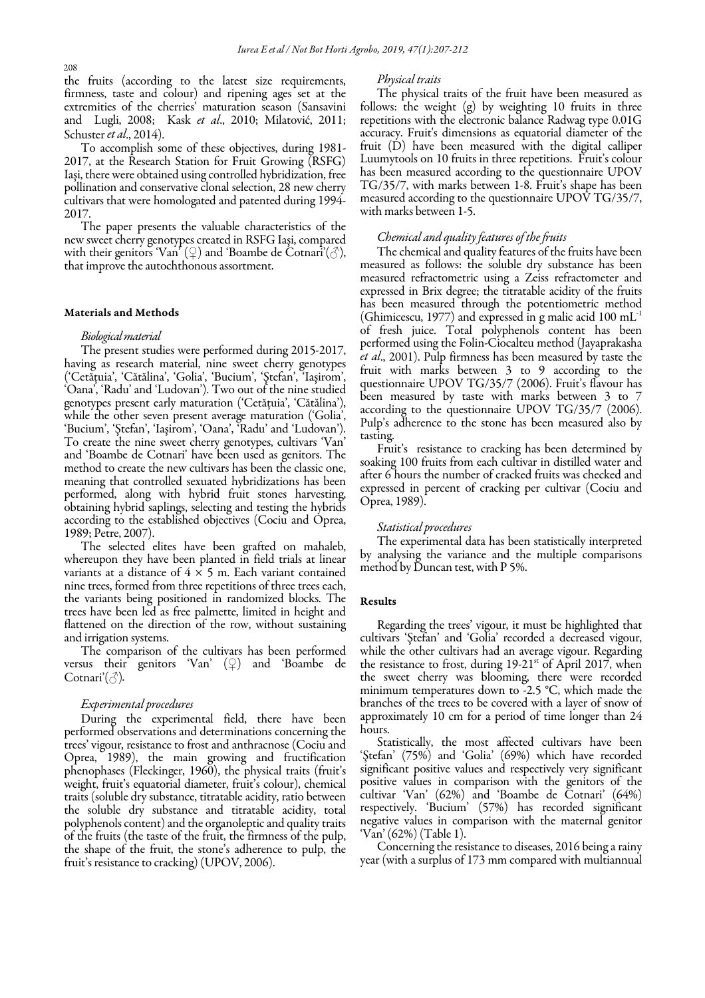208

the fruits (according to the latest size requirements, firmness, taste and colour) and ripening ages set at the extremities of the cherries' maturation season (Sansavini and Lugli, 2008; Kask et al., 2010; Milatović, 2011; Schuster *et al.*, 2014).

To accomplish some of these objectives, during 1981- 2017, at the Research Station for Fruit Growing (RSFG) Iaşi, there were obtained using controlled hybridization, free pollination and conservative clonal selection, 28 new cherry cultivars that were homologated and patented during 1994- 2017.

The paper presents the valuable characteristics of the new sweet cherry genotypes created in RSFG Iaşi, compared with their genitors 'Van'  $(2)$  and 'Boambe de Cotnari'( $\circlearrowleft$ ), that improve the autochthonous assortment.

#### Materials and Methods

## Biological material

The present studies were performed during 2015-2017, having as research material, nine sweet cherry genotypes ('Cetăţuia', 'Cătălina', 'Golia', 'Bucium', 'Ştefan', 'Iaşirom', 'Oana', 'Radu' and 'Ludovan'). Two out of the nine studied genotypes present early maturation ('Cetăţuia', 'Cătălina'), while the other seven present average maturation ('Golia', 'Bucium', 'Ştefan', 'Iaşirom', 'Oana', 'Radu' and 'Ludovan'). To create the nine sweet cherry genotypes, cultivars 'Van' and 'Boambe de Cotnari' have been used as genitors. The method to create the new cultivars has been the classic one, meaning that controlled sexuated hybridizations has been performed, along with hybrid fruit stones harvesting, obtaining hybrid saplings, selecting and testing the hybrids according to the established objectives (Cociu and Oprea, 1989; Petre, 2007).

The selected elites have been grafted on mahaleb, whereupon they have been planted in field trials at linear variants at a distance of  $4 \times 5$  m. Each variant contained nine trees, formed from three repetitions of three trees each, the variants being positioned in randomized blocks. The trees have been led as free palmette, limited in height and flattened on the direction of the row, without sustaining and irrigation systems.

The comparison of the cultivars has been performed versus their genitors 'Van'  $(\varphi)$  and 'Boambe de Cotnari'( $\Diamond$ ).

## Experimental procedures

During the experimental field, there have been performed observations and determinations concerning the trees' vigour, resistance to frost and anthracnose (Cociu and Oprea, 1989), the main growing and fructification phenophases (Fleckinger, 1960), the physical traits (fruit's weight, fruit's equatorial diameter, fruit's colour), chemical traits (soluble dry substance, titratable acidity, ratio between the soluble dry substance and titratable acidity, total polyphenols content) and the organoleptic and quality traits of the fruits (the taste of the fruit, the firmness of the pulp, the shape of the fruit, the stone's adherence to pulp, the fruit's resistance to cracking) (UPOV, 2006).

#### Physical traits

The physical traits of the fruit have been measured as follows: the weight (g) by weighting 10 fruits in three repetitions with the electronic balance Radwag type 0.01G accuracy. Fruit's dimensions as equatorial diameter of the fruit (D) have been measured with the digital calliper Luumytools on 10 fruits in three repetitions. Fruit's colour has been measured according to the questionnaire UPOV TG/35/7, with marks between 1-8. Fruit's shape has been measured according to the questionnaire UPOV TG/35/7, with marks between 1-5.

## Chemical and quality features of the fruits

The chemical and quality features of the fruits have been measured as follows: the soluble dry substance has been measured refractometric using a Zeiss refractometer and expressed in Brix degree; the titratable acidity of the fruits has been measured through the potentiometric method (Ghimicescu, 1977) and expressed in g malic acid 100 mL-1 of fresh juice. Total polyphenols content has been performed using the Folin-Ciocalteu method (Jayaprakasha et al., 2001). Pulp firmness has been measured by taste the fruit with marks between 3 to 9 according to the questionnaire UPOV TG/35/7 (2006). Fruit's flavour has been measured by taste with marks between 3 to 7 according to the questionnaire UPOV TG/35/7 (2006). Pulp's adherence to the stone has been measured also by tasting.

Fruit's resistance to cracking has been determined by soaking 100 fruits from each cultivar in distilled water and after 6 hours the number of cracked fruits was checked and expressed in percent of cracking per cultivar (Cociu and Oprea, 1989).

## Statistical procedures

The experimental data has been statistically interpreted by analysing the variance and the multiple comparisons method by Duncan test, with P 5%.

## Results

Regarding the trees' vigour, it must be highlighted that cultivars 'Ştefan' and 'Golia' recorded a decreased vigour, while the other cultivars had an average vigour. Regarding the resistance to frost, during  $19-21$ <sup>st</sup> of April 2017, when the sweet cherry was blooming, there were recorded minimum temperatures down to -2.5 °C, which made the branches of the trees to be covered with a layer of snow of approximately 10 cm for a period of time longer than 24 hours.

Statistically, the most affected cultivars have been 'Ştefan' (75%) and 'Golia' (69%) which have recorded significant positive values and respectively very significant positive values in comparison with the genitors of the cultivar 'Van' (62%) and 'Boambe de Cotnari' (64%) respectively. 'Bucium' (57%) has recorded significant negative values in comparison with the maternal genitor 'Van' (62%) (Table 1).

Concerning the resistance to diseases, 2016 being a rainy year (with a surplus of 173 mm compared with multiannual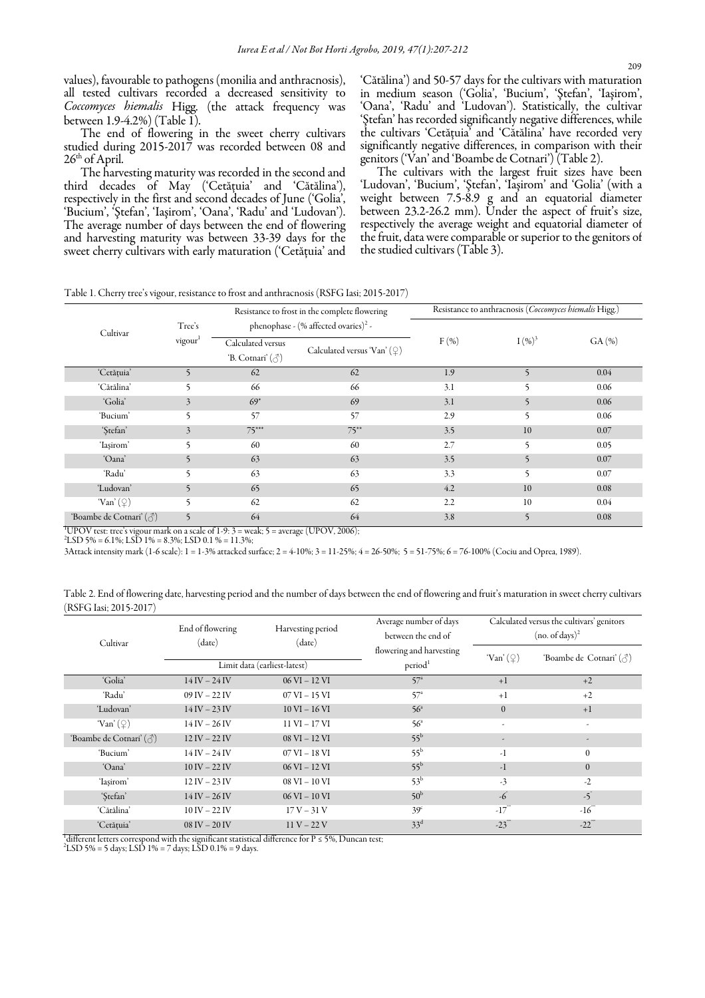values), favourable to pathogens (monilia and anthracnosis), all tested cultivars recorded a decreased sensitivity to Coccomyces hiemalis Higg. (the attack frequency was between 1.9-4.2%) (Table 1).

The end of flowering in the sweet cherry cultivars studied during 2015-2017 was recorded between 08 and  $26<sup>th</sup>$  of April.

The harvesting maturity was recorded in the second and third decades of May ('Cetăţuia' and 'Cătălina'), respectively in the first and second decades of June ('Golia', 'Bucium', 'Ştefan', 'Iaşirom', 'Oana', 'Radu' and 'Ludovan'). The average number of days between the end of flowering and harvesting maturity was between 33-39 days for the sweet cherry cultivars with early maturation ('Cetăţuia' and 'Cătălina') and 50-57 days for the cultivars with maturation in medium season ('Golia', 'Bucium', 'Ştefan', 'Iaşirom', 'Oana', 'Radu' and 'Ludovan'). Statistically, the cultivar 'Ştefan' has recorded significantly negative differences, while the cultivars 'Cetăţuia' and 'Cătălina' have recorded very significantly negative differences, in comparison with their genitors ('Van' and 'Boambe de Cotnari') (Table 2).

The cultivars with the largest fruit sizes have been 'Ludovan', 'Bucium', 'Ştefan', 'Iaşirom' and 'Golia' (with a weight between 7.5-8.9 g and an equatorial diameter between 23.2-26.2 mm). Under the aspect of fruit's size, respectively the average weight and equatorial diameter of the fruit, data were comparable or superior to the genitors of the studied cultivars (Table 3).

Table 1. Cherry tree's vigour, resistance to frost and anthracnosis (RSFG Iasi; 2015-2017)

|                         |                               | Resistance to frost in the complete flowering<br>phenophase - (% affected ovaries) <sup>2</sup> - |                                     | Resistance to anthracnosis (Coccomyces hiemalis Higg.) |                          |       |  |
|-------------------------|-------------------------------|---------------------------------------------------------------------------------------------------|-------------------------------------|--------------------------------------------------------|--------------------------|-------|--|
| Cultivar                | Tree's<br>vigour <sup>1</sup> |                                                                                                   |                                     |                                                        |                          |       |  |
|                         |                               | Calculated versus<br>'B. Cotnari' $(\text{A})$                                                    | Calculated versus 'Van' $(\varphi)$ | F(% )                                                  | $I(96)^3$                | GA(%) |  |
| 'Cetățuia'              | $\overline{5}$                | 62                                                                                                | 62                                  | 1.9                                                    | $\mathcal{F}$            | 0.04  |  |
| 'Cătălina'              | 5                             | 66                                                                                                | 66                                  | 3.1                                                    | 5                        | 0.06  |  |
| 'Golia'                 | 3                             | $69*$                                                                                             | 69                                  | 3.1                                                    | 5                        | 0.06  |  |
| 'Bucium'                | 5                             | 57                                                                                                | 57                                  | 2.9                                                    | 5                        | 0.06  |  |
| 'Stefan'                | 3                             | $75***$                                                                                           | $75***$                             | 3.5                                                    | 10                       | 0.07  |  |
| 'Iasirom'               | 5                             | 60                                                                                                | 60                                  | 2.7                                                    | 5                        | 0.05  |  |
| 'Oana'                  | 5                             | 63                                                                                                | 63                                  | 3.5                                                    | $\overline{\phantom{0}}$ | 0.07  |  |
| 'Radu'                  | 5                             | 63                                                                                                | 63                                  | 3.3                                                    | 5                        | 0.07  |  |
| 'Ludovan'               | 5                             | 65                                                                                                | 65                                  | 4.2                                                    | 10                       | 0.08  |  |
| 'Van' $(\varphi)$       | 5                             | 62                                                                                                | 62                                  | 2.2                                                    | 10                       | 0.04  |  |
| 'Boambe de Cotnari' (3) | $\overline{5}$                | 64                                                                                                | 64                                  | 3.8                                                    | $\sim$                   | 0.08  |  |

 $1$ UPOV test: tree's vigour mark on a scale of 1-9: 3 = weak; 5 = average (UPOV, 2006);

 ${}^{2}$ LSD 5% = 6.1%; LSD 1% = 8.3%; LSD 0.1 % = 11.3%;

3Attack intensity mark (1-6 scale): 1 = 1-3% attacked surface; 2 = 4-10%; 3 = 11-25%; 4 = 26-50%; 5 = 51-75%; 6 = 76-100% (Cociu and Oprea, 1989).

Table 2. End of flowering date, harvesting period and the number of days between the end of flowering and fruit's maturation in sweet cherry cultivars (RSFG Iasi; 2015-2017)

| Cultivar                               | End of flowering<br>(date)          | Harvesting period<br>(date) | Average number of days<br>between the end of    | Calculated versus the cultivars' genitors<br>$(no. of days)^2$ |                          |  |
|----------------------------------------|-------------------------------------|-----------------------------|-------------------------------------------------|----------------------------------------------------------------|--------------------------|--|
|                                        | Limit data (earliest-latest)        |                             | flowering and harvesting<br>period <sup>1</sup> | 'Van' $(\varphi)$                                              | 'Boambe de Cotnari' (3)  |  |
| 'Golia'                                | $14 IV - 24 IV$                     | $06$ VI $-12$ VI            | 57 <sup>a</sup>                                 | $+1$                                                           | $+2$                     |  |
| 'Radu'                                 | $09$ IV $- 22$ IV                   | $07$ VI $-$ 15 VI           | 57 <sup>a</sup>                                 | $+1$                                                           | $+2$                     |  |
| 'Ludovan'                              | $14$ IV $- 23$ IV                   | $10$ VI $- 16$ VI           | 56 <sup>a</sup>                                 | $\mathbf{0}$                                                   | $+1$                     |  |
| 'Van' $(\varphi)$                      | $14 IV - 26 IV$                     | $11 VI - 17 VI$             | 56 <sup>a</sup>                                 | $\overline{a}$                                                 | $\overline{\phantom{a}}$ |  |
| 'Boambe de Cotnari' ( c <sup>*</sup> ) | $12 IV - 22 IV$                     | $08 VI - 12 VI$             | $55^{\rm b}$                                    |                                                                |                          |  |
| 'Bucium'                               | $14 IV - 24 IV$                     | $07$ VI $-$ 18 VI           | $55^{\rm b}$                                    | $-1$                                                           | $\mathbf{0}$             |  |
| 'Oana'                                 | $10$ IV $- 22$ IV                   | $06$ VI $-12$ VI            | $55^{\rm b}$                                    | $-1$                                                           | $\overline{0}$           |  |
| 'Iasirom'                              | $12 IV - 23 IV$                     | 08 VI - 10 VI               | $53^{\rm b}$                                    | $-3$                                                           | $-2$                     |  |
| 'Stefan'                               | $14\,\mathrm{IV} - 26\,\mathrm{IV}$ | $06$ VI $- 10$ VI           | 50 <sup>b</sup>                                 | -6                                                             | $-5^\circ$               |  |
| 'Cătălina'                             | $10$ IV $- 22$ IV                   | $17 V - 31 V$               | 39 <sup>c</sup>                                 | $-17$ <sup>*</sup>                                             | $-16^{3}$                |  |
| 'Cetățuia'                             | $08$ IV $- 20$ IV                   | $11 V - 22 V$               | $33^d$                                          | $-23$ <sup>*</sup>                                             | $-22$ <sup>*</sup>       |  |

 $^1$ different letters correspond with the significant statistical difference for P ≤ 5%, Duncan test;

 $^{2}$ LSD 5% = 5 days; LSD 1% = 7 days; LSD 0.1% = 9 days.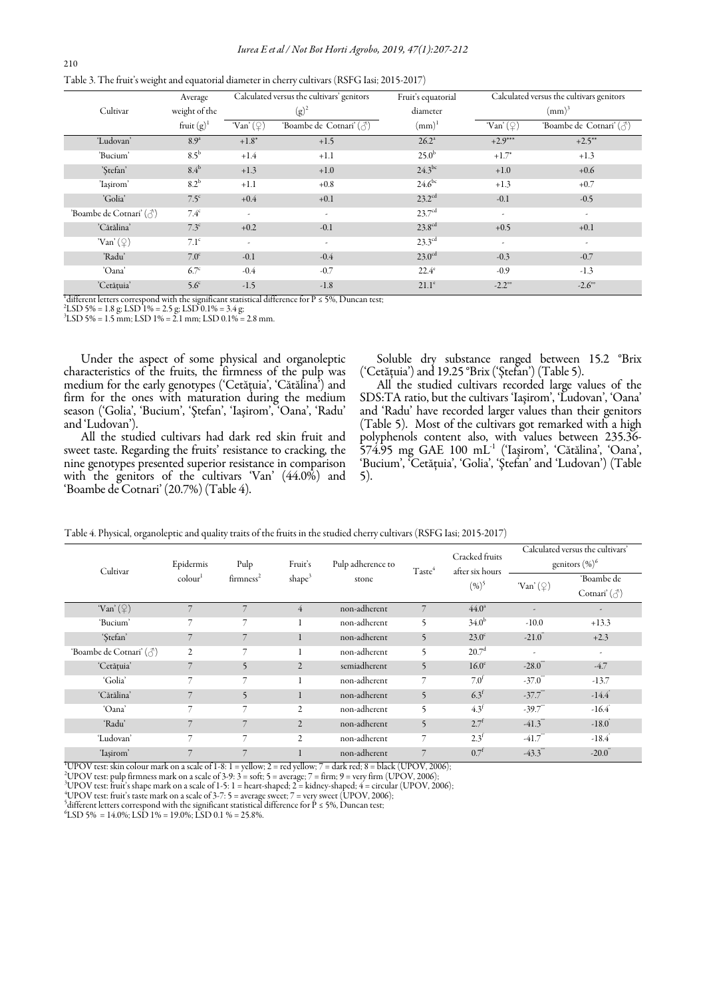|  | Table 3. The fruit's weight and equatorial diameter in cherry cultivars (RSFG Iasi; 2015-2017) |
|--|------------------------------------------------------------------------------------------------|
|  |                                                                                                |

|                                        | Average          | Calculated versus the cultivars' genitors |                                        | Fruit's equatorial | Calculated versus the cultivars genitors |                         |  |
|----------------------------------------|------------------|-------------------------------------------|----------------------------------------|--------------------|------------------------------------------|-------------------------|--|
| Cultivar                               | weight of the    |                                           | $(g)^2$                                | diameter           | $(mm)^3$                                 |                         |  |
|                                        | fruit $(g)^1$    | 'Van' $(\varphi)$                         | 'Boambe de Cotnari' ( c <sup>*</sup> ) | $(mm)^1$           | 'Van' $(\varphi)$                        | 'Boambe de Cotnari' (3) |  |
| 'Ludovan'                              | 8.9 <sup>a</sup> | $+1.8*$                                   | $+1.5$                                 | $26.2^{\circ}$     | $+2.9***$                                | $+2.5***$               |  |
| 'Bucium'                               | $8.5^{\rm b}$    | $+1.4$                                    | $+1.1$                                 | $25.0^{b}$         | $+1.7*$                                  | $+1.3$                  |  |
| 'Stefan'                               | $8.4^{\rm b}$    | $+1.3$                                    | $+1.0$                                 | $24.3^{bc}$        | $+1.0$                                   | $+0.6$                  |  |
| 'Iasirom'                              | 8.2 <sup>b</sup> | $+1.1$                                    | $+0.8$                                 | $24.6^{bc}$        | $+1.3$                                   | $+0.7$                  |  |
| 'Golia'                                | 7.5 <sup>c</sup> | $+0.4$                                    | $+0.1$                                 | 23.2 <sup>cd</sup> | $-0.1$                                   | $-0.5$                  |  |
| 'Boambe de Cotnari' ( c <sup>*</sup> ) | $7.4^{\circ}$    | $\tilde{\phantom{a}}$                     | ٠                                      | 23.7 <sup>cd</sup> | ٠.                                       | ٠                       |  |
| 'Cătălina'                             | 7.3 <sup>c</sup> | $+0.2$                                    | $-0.1$                                 | 23.8 <sup>cd</sup> | $+0.5$                                   | $+0.1$                  |  |
| 'Van' $(\varphi)$                      | $7.1^{\circ}$    | $\sim$                                    | ٠                                      | $23.3^{\text{cd}}$ | $\sim$                                   | ٠                       |  |
| 'Radu'                                 | 7.0 <sup>c</sup> | $-0.1$                                    | $-0.4$                                 | 23.0 <sup>cd</sup> | $-0.3$                                   | $-0.7$                  |  |
| 'Oana'                                 | 6.7 <sup>c</sup> | $-0.4$                                    | $-0.7$                                 | $22.4^\circ$       | $-0.9$                                   | $-1.3$                  |  |
| 'Cetățuia'                             | 5.6 <sup>c</sup> | $-1.5$                                    | $-1.8$                                 | $21.1^\circ$       | $-2.2^{\circ}$                           | $-2.6^\circ$            |  |

 $\frac{1}{2}$ different letters correspond with the significant statistical difference for P ≤ 5%, Duncan test;

2 LSD 5% = 1.8 g; LSD 1% = 2.5 g; LSD 0.1% = 3.4 g; 3 LSD 5% = 1.5 mm; LSD 1% = 2.1 mm; LSD 0.1% = 2.8 mm.

Under the aspect of some physical and organoleptic characteristics of the fruits, the firmness of the pulp was medium for the early genotypes ('Cetăţuia', 'Cătălina') and firm for the ones with maturation during the medium season ('Golia', 'Bucium', 'Ştefan', 'Iaşirom', 'Oana', 'Radu' and 'Ludovan').

All the studied cultivars had dark red skin fruit and sweet taste. Regarding the fruits' resistance to cracking, the nine genotypes presented superior resistance in comparison with the genitors of the cultivars 'Van' (44.0%) and 'Boambe de Cotnari' (20.7%) (Table 4).

Soluble dry substance ranged between 15.2 °Brix ('Cetăţuia') and 19.25 °Brix ('Ștefan') (Table 5).

All the studied cultivars recorded large values of the SDS:TA ratio, but the cultivars 'Iaşirom', 'Ludovan', 'Oana' and 'Radu' have recorded larger values than their genitors (Table 5). Most of the cultivars got remarked with a high polyphenols content also, with values between 235.36- 574.95 mg GAE 100 mL-1 ('Iaşirom', 'Cătălina', 'Oana', 'Bucium', 'Cetăţuia', 'Golia', 'Ştefan' and 'Ludovan') (Table 5).

| Cultivar                               | Epidermis<br>$\mathrm{colour}^1$ | Pulp                     | Fruit's<br>shape <sup>3</sup> | Pulp adherence to<br>stone | Taste <sup>4</sup>       | Cracked fruits<br>after six hours<br>$(\frac{9}{6})^5$ | Calculated versus the cultivars'<br>genitors $(\%)^6$ |                       |
|----------------------------------------|----------------------------------|--------------------------|-------------------------------|----------------------------|--------------------------|--------------------------------------------------------|-------------------------------------------------------|-----------------------|
|                                        |                                  | firmness <sup>2</sup>    |                               |                            |                          |                                                        | 'Van' $(\varphi)$                                     | 'Boambe de            |
|                                        |                                  |                          |                               |                            |                          |                                                        |                                                       | Cotnari' $(\text{A})$ |
| 'Van' $(\varphi)$                      | $\overline{7}$                   | $\overline{7}$           | $\overline{4}$                | non-adherent               | $\overline{7}$           | $44.0^{\circ}$                                         |                                                       | ۰                     |
| 'Bucium'                               | 7                                | 7                        |                               | non-adherent               | 5                        | $34.0^{b}$                                             | $-10.0$                                               | $+13.3$               |
| 'Stefan'                               | 7                                | 7                        |                               | non-adherent               | 5                        | $23.0^\circ$                                           | $-21.0$                                               | $+2.3$                |
| 'Boambe de Cotnari' ( c <sup>*</sup> ) | $\overline{2}$                   | 7                        |                               | non-adherent               | 5                        | 20.7 <sup>d</sup>                                      | $\overline{\phantom{a}}$                              | $\sim$                |
| 'Cetățuia'                             | 7                                | $\overline{\phantom{0}}$ | $\overline{2}$                | semiadherent               | $\overline{\phantom{0}}$ | 16.0 <sup>e</sup>                                      | $-28.0$                                               | $-4.7$                |
| 'Golia'                                | 7                                | 7                        |                               | non-adherent               | 7                        | 7.0 <sup>f</sup>                                       | $-37.0$ <sup>-3</sup>                                 | $-13.7$               |
| 'Cătălina'                             | 7                                | $\overline{\phantom{0}}$ |                               | non-adherent               | 5                        | 6.3 <sup>f</sup>                                       | $-37.7$ <sup>***</sup>                                | $-14.4$ <sup>*</sup>  |
| 'Oana'                                 | 7                                | 7                        | $\overline{2}$                | non-adherent               | 5                        | 4.3 <sup>f</sup>                                       | $-39.7$ <sup>**</sup>                                 | $-16.4$               |
| 'Radu'                                 | 7                                | $\overline{7}$           | $\overline{2}$                | non-adherent               | 5                        | $2.7^{f}$                                              | $-41.3$ <sup>**</sup>                                 | $-18.0$               |
| 'Ludovan'                              | 7                                | 7                        | $\overline{c}$                | non-adherent               | 7                        | $2.3^{f}$                                              | $-41.7$ <sup>**</sup>                                 | $-18.4$               |
| 'Iasirom'                              | 7                                | 7                        |                               | non-adherent               | $\overline{7}$           | 0.7 <sup>f</sup>                                       | $-43.3$ <sup>"</sup>                                  | $-20.0$               |

Table 4. Physical, organoleptic and quality traits of the fruits in the studied cherry cultivars (RSFG Iasi; 2015-2017)

<sup>1</sup>UPOV test: skin colour mark on a scale of 1-8:  $1$  = yellow;  $2$  = red yellow;  $7$  = dark red;  $8$  = black (UPOV, 2006);

<sup>2</sup>UPOV test: pulp firmness mark on a scale of 3-9:  $3 = \text{soft}$ ;  $5 = \text{average}$ ;  $7 = \text{firm}$ ;  $9 = \text{very firm (UPOV, 2006)}$ ;

 $^3$ UPOV test: fruit's shape mark on a scale of 1-5: 1 = heart-shaped; 2 = kidney-shaped; 4 = circular (UPOV, 2006);

<sup>4</sup>UPOV test: fruit's taste mark on a scale of 3-7: 5 = average sweet; 7 = very sweet (UPOV, 2006); 5 different letters correspond with the significant statistical difference for P ≤ 5%, Duncan test;

 ${}^{6}$ LSD 5% = 14.0%; LSD 1% = 19.0%; LSD 0.1 % = 25.8%.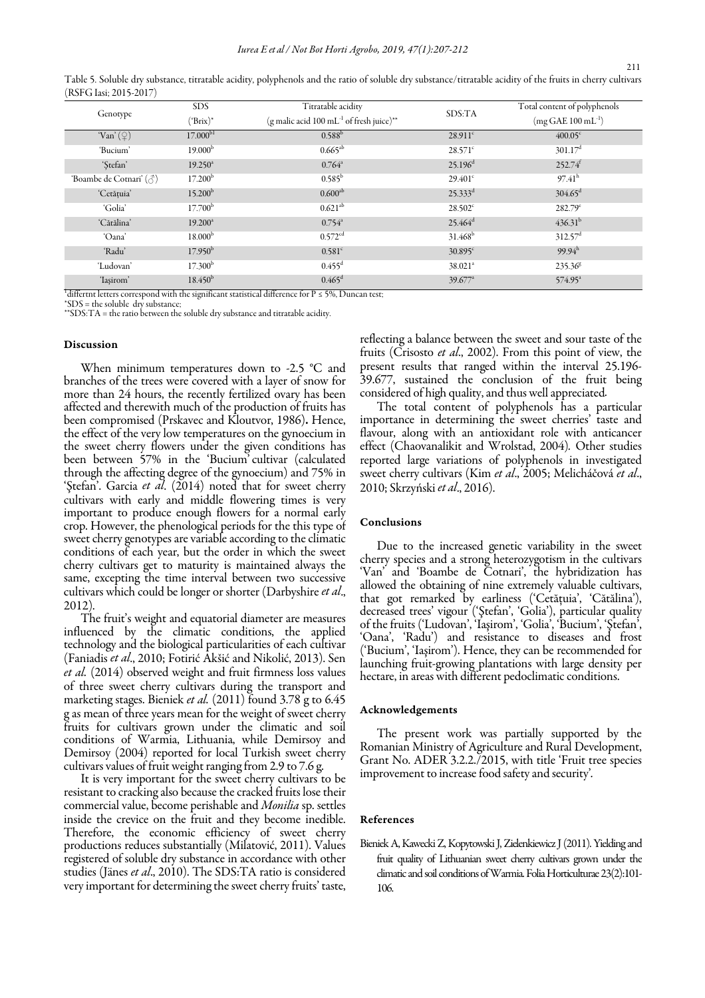| $15.1 \text{ G}$ idsi, $201 \text{ J}$ $201 \text{ J}$ |                     |                                                                  |                       |                              |
|--------------------------------------------------------|---------------------|------------------------------------------------------------------|-----------------------|------------------------------|
| Genotype                                               | <b>SDS</b>          | Titratable acidity                                               |                       | Total content of polyphenols |
|                                                        | $(^{\circ}Brix)^*$  | (g malic acid 100 mL <sup>-1</sup> of fresh juice) <sup>**</sup> | SDS:TA                | $(mg GAE 100 mL^{-1})$       |
| 'Van' $(\varphi)$                                      | $17.000^{b1}$       | $0.588^{\rm b}$                                                  | $28.911$ <sup>c</sup> | $400.05^{\circ}$             |
| 'Bucium'                                               | 19.000 <sup>b</sup> | $0.665^{ab}$                                                     | $28.571^{\circ}$      | $301.17$ <sup>d</sup>        |
| 'Stefan'                                               | $19.250^{\circ}$    | $0.764^{\circ}$                                                  | 25.196 <sup>d</sup>   | $252.74$ <sup>f</sup>        |
| 'Boambe de Cotnari' ( c )                              | 17.200 <sup>b</sup> | $0.585^{\rm b}$                                                  | $29.401^{\circ}$      | $97.41^h$                    |
| 'Cetățuia'                                             | 15.200 <sup>b</sup> | $0.600^{ab}$                                                     | $25.333^{d}$          | $304.65^{\rm d}$             |
| 'Golia'                                                | 17.700 <sup>b</sup> | $0.621^{ab}$                                                     | $28.502$ <sup>c</sup> | $282.79^{\circ}$             |
| 'Cătălina'                                             | $19.200^a$          | $0.754^{\circ}$                                                  | $25.464^d$            | $436.31^{b}$                 |
| 'Oana'                                                 | 18.000 <sup>b</sup> | 0.572 <sup>cd</sup>                                              | $31.468^b$            | $312.57$ <sup>d</sup>        |
| 'Radu'                                                 | 17.950 <sup>b</sup> | 0.581 <sup>c</sup>                                               | $30.895$ <sup>c</sup> | $99.94^h$                    |
| 'Ludovan'                                              | 17.300 <sup>b</sup> | $0.455$ <sup>d</sup>                                             | $38.021$ <sup>a</sup> | 235.368                      |
| 'Iasirom'                                              | $18.450^{b}$        | $0.465^{\rm d}$                                                  | $39.677^{\circ}$      | $574.95^{\circ}$             |

Table 5. Soluble dry substance, titratable acidity, polyphenols and the ratio of soluble dry substance/titratable acidity of the fruits in cherry cultivars (RSFG Iasi; 2015-2017)

 $^1$ differtnt letters correspond with the significant statistical difference for P  $\leq$  5%, Duncan test;

\*SDS = the soluble  $dr\bar{v}$  substance:

\*\*SDS:TA = the ratio between the soluble dry substance and titratable acidity.

## Discussion

 2012). When minimum temperatures down to -2.5 °C and branches of the trees were covered with a layer of snow for more than 24 hours, the recently fertilized ovary has been affected and therewith much of the production of fruits has been compromised (Prskavec and Kloutvor, 1986). Hence, the effect of the very low temperatures on the gynoecium in the sweet cherry flowers under the given conditions has been between 57% in the 'Bucium' cultivar (calculated through the affecting degree of the gynoecium) and 75% in 'Stefan'. Garcia et al. (2014) noted that for sweet cherry cultivars with early and middle flowering times is very important to produce enough flowers for a normal early crop. However, the phenological periods for the this type of sweet cherry genotypes are variable according to the climatic conditions of each year, but the order in which the sweet cherry cultivars get to maturity is maintained always the same, excepting the time interval between two successive cultivars which could be longer or shorter (Darbyshire et al.,

The fruit's weight and equatorial diameter are measures influenced by the climatic conditions, the applied technology and the biological particularities of each cultivar (Faniadis et al., 2010; Fotirić Akšić and Nikolić, 2013). Sen et al. (2014) observed weight and fruit firmness loss values of three sweet cherry cultivars during the transport and marketing stages. Bieniek et al. (2011) found 3.78 g to 6.45 g as mean of three years mean for the weight of sweet cherry fruits for cultivars grown under the climatic and soil conditions of Warmia, Lithuania, while Demirsoy and Demirsoy (2004) reported for local Turkish sweet cherry cultivars values of fruit weight ranging from 2.9 to 7.6 g.

It is very important for the sweet cherry cultivars to be resistant to cracking also because the cracked fruits lose their commercial value, become perishable and Monilia sp. settles inside the crevice on the fruit and they become inedible. Therefore, the economic efficiency of sweet cherry productions reduces substantially (Milatović, 2011). Values registered of soluble dry substance in accordance with other studies (Jänes et al., 2010). The SDS:TA ratio is considered very important for determining the sweet cherry fruits' taste,

reflecting a balance between the sweet and sour taste of the fruits (Crisosto et al., 2002). From this point of view, the present results that ranged within the interval 25.196- 39.677, sustained the conclusion of the fruit being considered of high quality, and thus well appreciated.

The total content of polyphenols has a particular importance in determining the sweet cherries' taste and flavour, along with an antioxidant role with anticancer effect (Chaovanalikit and Wrolstad, 2004). Other studies reported large variations of polyphenols in investigated sweet cherry cultivars (Kim et al., 2005; Melicháčová et al., 2010; Skrzyński et al., 2016).

#### Conclusions

Due to the increased genetic variability in the sweet cherry species and a strong heterozygotism in the cultivars 'Van' and 'Boambe de Cotnari', the hybridization has allowed the obtaining of nine extremely valuable cultivars, that got remarked by earliness ('Cetăţuia', 'Cătălina'), decreased trees' vigour ('Ştefan', 'Golia'), particular quality of the fruits ('Ludovan', 'Iaşirom', 'Golia', 'Bucium', 'Ştefan', 'Oana', 'Radu') and resistance to diseases and frost ('Bucium', 'Iaşirom'). Hence, they can be recommended for launching fruit-growing plantations with large density per hectare, in areas with different pedoclimatic conditions.

#### Acknowledgements

The present work was partially supported by the Romanian Ministry of Agriculture and Rural Development, Grant No. ADER 3.2.2./2015, with title 'Fruit tree species improvement to increase food safety and security'.

### References

Bieniek A, Kawecki Z, Kopytowski J, Zielenkiewicz J (2011). Yielding and fruit quality of Lithuanian sweet cherry cultivars grown under the climatic and soil conditions of Warmia. Folia Horticulturae 23(2):101- 106.